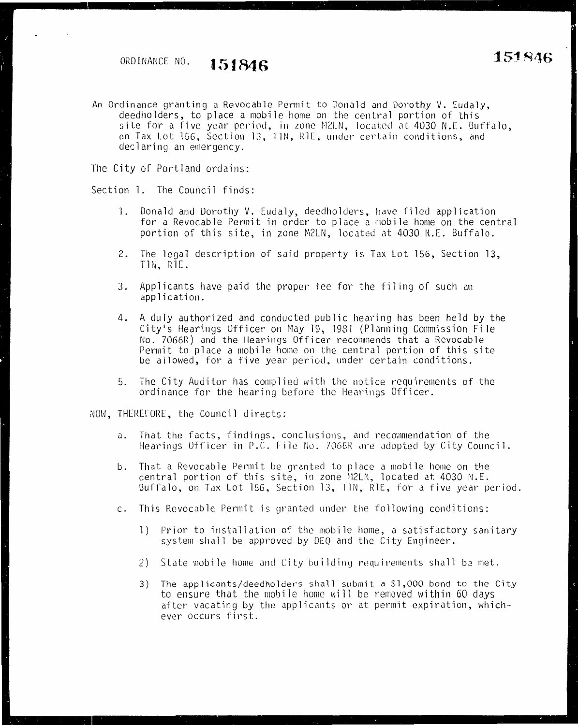# ORDINANCE NO. **151846**

An Ordinance granting a Revocable Permit to Donald and Dorothy V. Eudaly, deedholders, to place a mobile home on the central portion of this site for a five year period, in zone M2LN, located at 4030 N.E. Buffalo, on Tax Lot 156, Section 13, TIN, R1E, under certain conditions, and declaring an emergency.

The City of Portland ordains:

Section l. The Council finds:

- 1. Donald and Dorothy V. Eudaly, deedholders, have filed application for a Revocable Permit in order to place a mobile home on the central portion of this site, in zone M2LN, located at 4030 N.E. Buffalo.
- 2. The legal description of said property is Tax Lot 156, Section 13, TIN, RIE.
- J. Applicants have paid the proper fee for the filing of such an application.
- 4. A duly authorized and conducted public hearing has been held by the City's Hearings Officer on May 19, 1981 (Planning Commission File No. 7066R) and the Hearings Officer recommends that a Revocable Permit to place a mobile home on the central portion of this site be allowed, for a five year period, under certain conditions.
- 5. The City Auditor has complied with the notice requirements of the ordinance for the hearing before the Hearings Officer.

NOW, THEREFORE, the Council directs:

- a. That the facts, findings, conclusions, and recommendation of the Hearings Officer in P.C. File No. 7066R are adopted by City Council.
- b. That a Revocable Permit be granted to place a mobile home on the central portion of this site, in zone M2LN, located at  $4030$  N.E. Buffalo, on Tax Lot 156, Section 13, TlN, RlE, for a five year period.
- c. This Revocable Permit is granted under the following conditions:
	- 1) Prior to installation of the mobile home, a satisfactory sanitary system shall be approved by DEQ and the City Engineer.
	- 2) State mobile home and City building requirements shall be met.
	- 3) The applicants/deedholders shall submit a \$1,000 bond to the City to ensure that the mobile home will be removed within 60 days after vacating by the applicants or at permit expiration, whichever occurs first.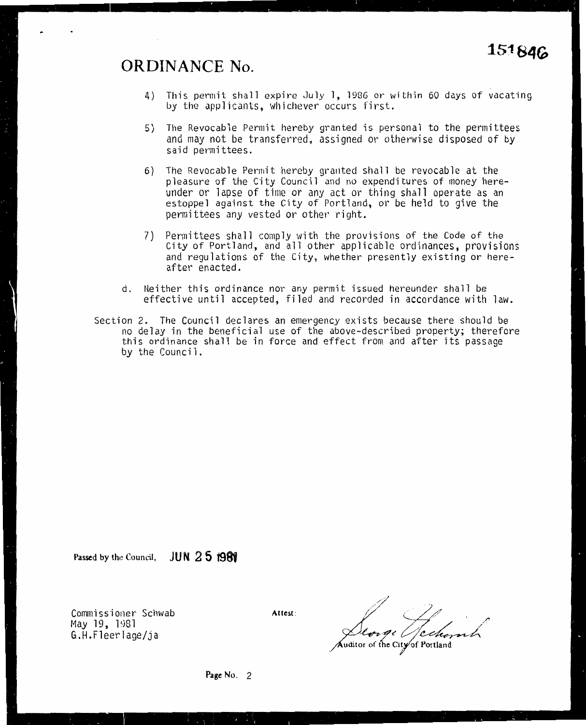#### **ORDINANCE No.**

- 4) This permit shall expire July l, 1986 or within 60 days of vacating by the applicants, whichever occurs first.
- 5) The Revocable Permit hereby granted is personal to the permittees and may not be transferred, assigned or otherwise disposed of by said permittees.
- 6) The Revocable Permit hereby granted shall be revocable at the pleasure of the City Council and no expenditures of money hereunder or lapse of time or any act or thing shall operate as an estoppel against the City of Portland, or be held to give the permittees any vested or other right.
- 7) Permittees shall comply with the provisions of the Code of the City of Portland, and all other applicable ordinances, provisions and regulations of the City, whether presently existing or hereafter enacted.
- d. Neither this ordinance nor any permit issued hereunder shall be effective until accepted, filed and recorded in accordance with law.
- Section 2. The Council declares an emergency exists because there should be no delay in the beneficial use of the above-described property; therefore<br>this ordinance shall be in force and effect from and after its passage by the Council.

Passed by the Council, JUN **2 5 1989** 

Commissioner Schwab May 19, 1981 G.H.F1eerlage/ja

Attest:

*./*  (\_\_ */./* /' Deorge Ofechamp uditor of the City of Portland

Page No. 2